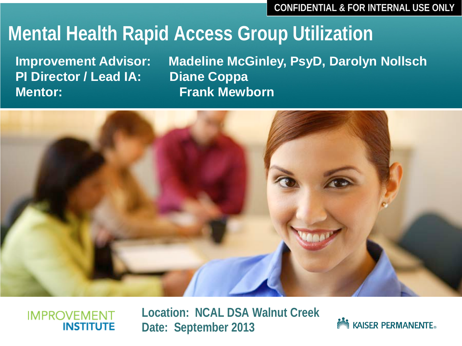**CONFIDENTIAL & FOR INTERNAL USE ONLY**

### **Mental Health Rapid Access Group Utilization**

**PI Director / Lead IA: Diane Coppa Mentor: Frank Mewborn**

**Improvement Advisor: Madeline McGinley, PsyD, Darolyn Nollsch**



#### **IMPROVEMENT** INSTITUTE

**Location: NCAL DSA Walnut Creek Date: September 2013**

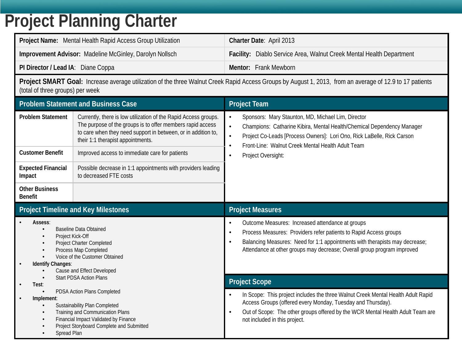### **Project Planning Charter**

| <b>Project Name:</b> Mental Health Rapid Access Group Utilization | Charter Date: April 2013                                             |
|-------------------------------------------------------------------|----------------------------------------------------------------------|
| Improvement Advisor: Madeline McGinley, Darolyn Nollsch           | Facility: Diablo Service Area, Walnut Creek Mental Health Department |
| PI Director / Lead IA: Diane Coppa                                | Mentor: Frank Mewborn                                                |

**Project SMART Goal:** Increase average utilization of the three Walnut Creek Rapid Access Groups by August 1, 2013, from an average of 12.9 to 17 patients (total of three groups) per week

| <b>Problem Statement and Business Case</b>                                                                                                                                                                                                                  |                                                                                                                                                                                                                                                                                                                                                                                 | <b>Project Team</b>                                                                                                                                                                                                                                                                                                                                |  |  |
|-------------------------------------------------------------------------------------------------------------------------------------------------------------------------------------------------------------------------------------------------------------|---------------------------------------------------------------------------------------------------------------------------------------------------------------------------------------------------------------------------------------------------------------------------------------------------------------------------------------------------------------------------------|----------------------------------------------------------------------------------------------------------------------------------------------------------------------------------------------------------------------------------------------------------------------------------------------------------------------------------------------------|--|--|
| <b>Problem Statement</b><br><b>Customer Benefit</b><br><b>Expected Financial</b><br>Impact<br><b>Other Business</b>                                                                                                                                         | Currently, there is low utilization of the Rapid Access groups.<br>The purpose of the groups is to offer members rapid access<br>to care when they need support in between, or in addition to,<br>their 1:1 therapist appointments.<br>Improved access to immediate care for patients<br>Possible decrease in 1:1 appointments with providers leading<br>to decreased FTE costs | Sponsors: Mary Staunton, MD, Michael Lim, Director<br>$\bullet$<br>Champions: Catharine Kibira, Mental Health/Chemical Dependency Manager<br>$\bullet$<br>Project Co-Leads [Process Owners]: Lori Ono, Rick LaBelle, Rick Carson<br>$\bullet$<br>Front-Line: Walnut Creek Mental Health Adult Team<br>$\bullet$<br>Project Oversight:<br>$\bullet$ |  |  |
| <b>Benefit</b><br><b>Project Timeline and Key Milestones</b>                                                                                                                                                                                                |                                                                                                                                                                                                                                                                                                                                                                                 | <b>Project Measures</b>                                                                                                                                                                                                                                                                                                                            |  |  |
| Assess:<br><b>Baseline Data Obtained</b><br>$\bullet$<br>Project Kick-Off<br>$\bullet$<br>Project Charter Completed<br>Process Map Completed<br>$\bullet$<br>Voice of the Customer Obtained<br>Identify Changes:<br>$\bullet$<br>Cause and Effect Developed |                                                                                                                                                                                                                                                                                                                                                                                 | Outcome Measures: Increased attendance at groups<br>$\bullet$<br>Process Measures: Providers refer patients to Rapid Access groups<br>$\bullet$<br>Balancing Measures: Need for 1:1 appointments with therapists may decrease;<br>$\bullet$<br>Attendance at other groups may decrease; Overall group program improved                             |  |  |
| $\bullet$<br>Test:                                                                                                                                                                                                                                          | <b>Start PDSA Action Plans</b>                                                                                                                                                                                                                                                                                                                                                  | <b>Project Scope</b>                                                                                                                                                                                                                                                                                                                               |  |  |
| PDSA Action Plans Completed<br>Implement:<br>Sustainability Plan Completed<br>Training and Communication Plans<br>$\bullet$<br>Financial Impact Validated by Finance<br>$\bullet$<br>Project Storyboard Complete and Submitted<br>Spread Plan               |                                                                                                                                                                                                                                                                                                                                                                                 | In Scope: This project includes the three Walnut Creek Mental Health Adult Rapid<br>Access Groups (offered every Monday, Tuesday and Thursday).<br>Out of Scope: The other groups offered by the WCR Mental Health Adult Team are<br>$\bullet$<br>not included in this project.                                                                    |  |  |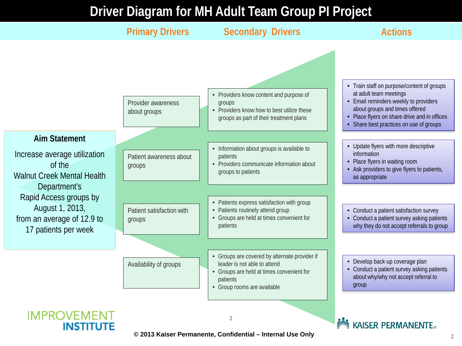#### **Driver Diagram for MH Adult Team Group PI Project**



**© 2013 Kaiser Permanente, Confidential – Internal Use Only**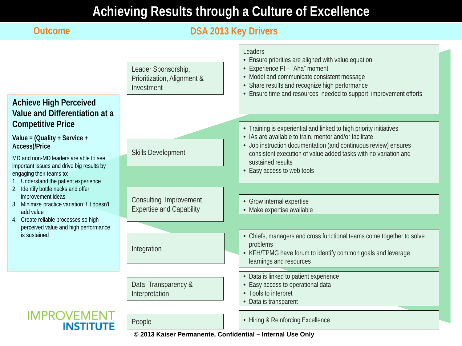#### **Achieving Results through a Culture of Excellence**

#### **Outcome DSA 2013 Key Drivers** Leaders • Ensure priorities are aligned with value equation • Experience PI – "Aha" moment Leader Sponsorship, • Model and communicate consistent message Prioritization, Alignment & • Share results and recognize high performance Investment • Ensure time and resources needed to support improvement efforts **Achieve High Perceived Value and Differentiation at a Competitive Price** • Training is experiential and linked to high priority initiatives • IAs are available to train, mentor and/or facilitate **Value = (Quality + Service +**  • Job instruction documentation (and continuous review) ensures **Access)/Price** Skills Development consistent execution of value added tasks with no variation and MD and non-MD leaders are able to see sustained results important issues and drive big results by • Easy access to web tools engaging their teams to: 1. Understand the patient experience 2. Identify bottle necks and offer improvement ideas Consulting Improvement • Grow internal expertise 3. Minimize practice variation if it doesn't Expertise and Capability • Make expertise available add value 4. Create reliable processes so high perceived value and high performance is sustained • Chiefs, managers and cross functional teams come together to solve problems Integration • KFH/TPMG have forum to identify common goals and leverage learnings and resources • Data is linked to patient experience Data Transparency & • Easy access to operational data Interpretation • Tools to interpret • Data is transparent **IMPROVEMENT** People **• Hiring & Reinforcing Excellence** INSTITU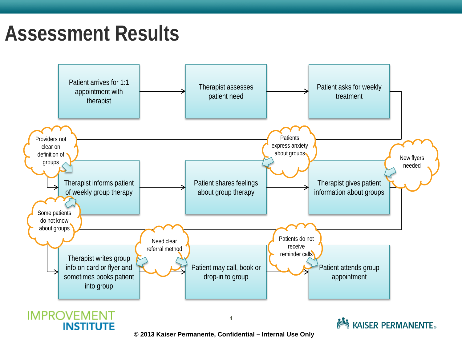### **Assessment Results**



**© 2013 Kaiser Permanente, Confidential – Internal Use Only**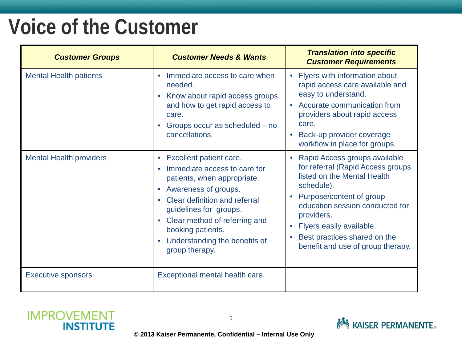### **Voice of the Customer**

| <b>Customer Groups</b>         | <b>Customer Needs &amp; Wants</b>                                                                                                                                                                                                                                                  | <b>Translation into specific</b><br><b>Customer Requirements</b>                                                                                                                                                                                                                              |
|--------------------------------|------------------------------------------------------------------------------------------------------------------------------------------------------------------------------------------------------------------------------------------------------------------------------------|-----------------------------------------------------------------------------------------------------------------------------------------------------------------------------------------------------------------------------------------------------------------------------------------------|
| <b>Mental Health patients</b>  | Immediate access to care when<br>needed.<br>Know about rapid access groups<br>and how to get rapid access to<br>care.<br>Groups occur as scheduled – no<br>cancellations.                                                                                                          | • Flyers with information about<br>rapid access care available and<br>easy to understand.<br>• Accurate communication from<br>providers about rapid access<br>care.<br>Back-up provider coverage<br>workflow in place for groups.                                                             |
| <b>Mental Health providers</b> | Excellent patient care.<br>Immediate access to care for<br>patients, when appropriate.<br>Awareness of groups.<br>Clear definition and referral<br>guidelines for groups.<br>Clear method of referring and<br>booking patients.<br>Understanding the benefits of<br>group therapy. | Rapid Access groups available<br>for referral (Rapid Access groups<br>listed on the Mental Health<br>schedule).<br>Purpose/content of group<br>education session conducted for<br>providers.<br>Flyers easily available.<br>Best practices shared on the<br>benefit and use of group therapy. |
| <b>Executive sponsors</b>      | Exceptional mental health care.                                                                                                                                                                                                                                                    |                                                                                                                                                                                                                                                                                               |



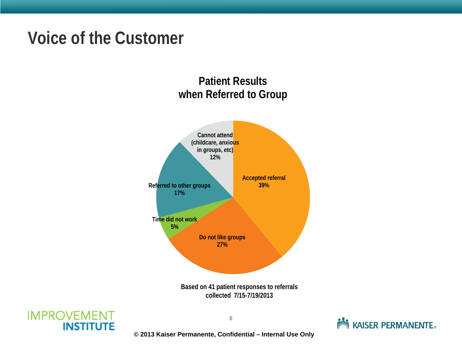### **Voice of the Customer**

#### **Patient Results when Referred to Group**



**Based on 41 patient responses to referrals collected 7/15-7/19/2013**





**© 2013 Kaiser Permanente, Confidential – Internal Use Only**

6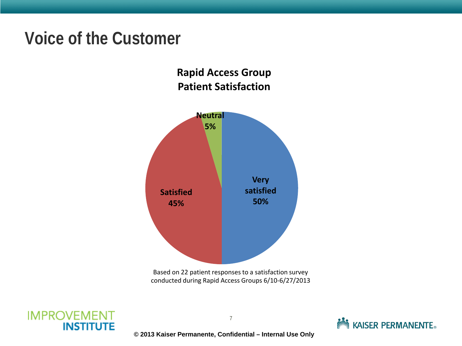### **Voice of the Customer**

#### **Rapid Access Group Patient Satisfaction**







**© 2013 Kaiser Permanente, Confidential – Internal Use Only**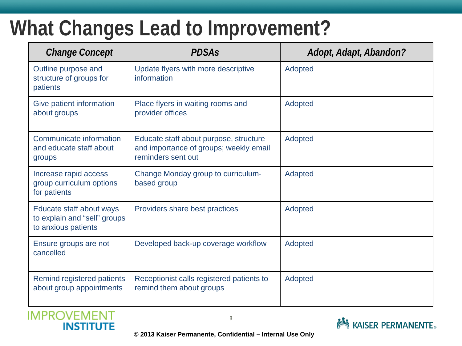### **What Changes Lead to Improvement?**

| <b>Change Concept</b>                                                           | <b>PDSAs</b>                                                                                           | Adopt, Adapt, Abandon? |
|---------------------------------------------------------------------------------|--------------------------------------------------------------------------------------------------------|------------------------|
| Outline purpose and<br>structure of groups for<br>patients                      | Update flyers with more descriptive<br>information                                                     | Adopted                |
| Give patient information<br>about groups                                        | Place flyers in waiting rooms and<br>provider offices                                                  | Adopted                |
| Communicate information<br>and educate staff about<br>groups                    | Educate staff about purpose, structure<br>and importance of groups; weekly email<br>reminders sent out | Adopted                |
| Increase rapid access<br>group curriculum options<br>for patients               | Change Monday group to curriculum-<br>based group                                                      | Adapted                |
| Educate staff about ways<br>to explain and "sell" groups<br>to anxious patients | Providers share best practices                                                                         | Adopted                |
| Ensure groups are not<br>cancelled                                              | Developed back-up coverage workflow                                                                    | Adopted                |
| Remind registered patients<br>about group appointments                          | Receptionist calls registered patients to<br>remind them about groups                                  | Adopted                |



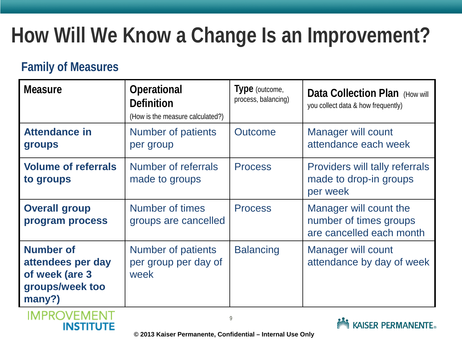# **How Will We Know a Change Is an Improvement?**

#### **Family of Measures**

| <b>Measure</b>                                                                       | Operational<br><b>Definition</b><br>(How is the measure calculated?) | Type (outcome,<br>process, balancing) | Data Collection Plan (How will<br>you collect data & how frequently)         |
|--------------------------------------------------------------------------------------|----------------------------------------------------------------------|---------------------------------------|------------------------------------------------------------------------------|
| <b>Attendance in</b><br>groups                                                       | Number of patients<br>per group                                      | <b>Outcome</b>                        | <b>Manager will count</b><br>attendance each week                            |
| <b>Volume of referrals</b><br>to groups                                              | <b>Number of referrals</b><br>made to groups                         | <b>Process</b>                        | Providers will tally referrals<br>made to drop-in groups<br>per week         |
| <b>Overall group</b><br>program process                                              | Number of times<br>groups are cancelled                              | <b>Process</b>                        | Manager will count the<br>number of times groups<br>are cancelled each month |
| <b>Number of</b><br>attendees per day<br>of week (are 3<br>groups/week too<br>many?) | <b>Number of patients</b><br>per group per day of<br>week            | <b>Balancing</b>                      | <b>Manager will count</b><br>attendance by day of week                       |



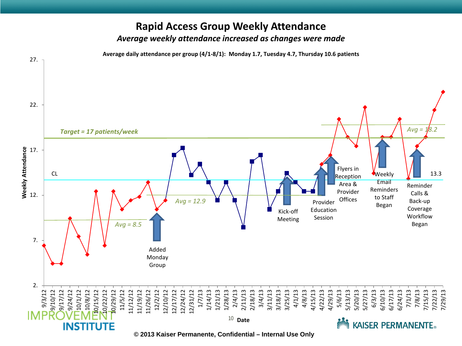#### **Rapid Access Group Weekly Attendance** *Average weekly attendance increased as changes were made*

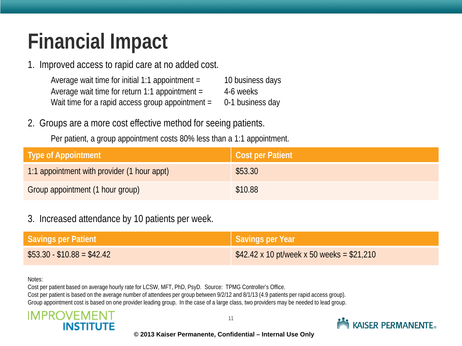# **Financial Impact**

1. Improved access to rapid care at no added cost.

| Average wait time for initial 1:1 appointment =  | 10 business days |
|--------------------------------------------------|------------------|
| Average wait time for return 1:1 appointment =   | 4-6 weeks        |
| Wait time for a rapid access group appointment = | 0-1 business day |

- 2. Groups are a more cost effective method for seeing patients.
	- Per patient, a group appointment costs 80% less than a 1:1 appointment.

| <b>Type of Appointment</b>                  | Cost per Patient |
|---------------------------------------------|------------------|
| 1:1 appointment with provider (1 hour appt) | \$53.30          |
| Group appointment (1 hour group)            | \$10.88          |

3. Increased attendance by 10 patients per week.

| Savings per Patient        | Savings per Year                                 |
|----------------------------|--------------------------------------------------|
| $$53.30 - $10.88 = $42.42$ | $$42.42 \times 10$ pt/week x 50 weeks = \$21,210 |

#### Notes:

Cost per patient based on average hourly rate for LCSW, MFT, PhD, PsyD. Source: TPMG Controller's Office. Cost per patient is based on the average number of attendees per group between 9/2/12 and 8/1/13 (4.9 patients per rapid access group). Group appointment cost is based on one provider leading group. In the case of a large class, two providers may be needed to lead group.





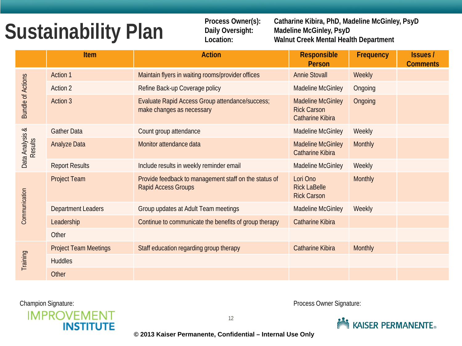# **Sustainability Plan**

**Process Owner(s): Catharine Kibira, PhD, Madeline McGinley, PsyD Daily Oversight: Madeline McGinley, PsyD Location: Walnut Creek Mental Health Department**

|                                   | Item                         | <b>Action</b>                                                                       | <b>Responsible</b><br><b>Person</b>                                       | Frequency      | <b>Issues</b> /<br><b>Comments</b> |
|-----------------------------------|------------------------------|-------------------------------------------------------------------------------------|---------------------------------------------------------------------------|----------------|------------------------------------|
| <b>Bundle of Actions</b>          | <b>Action 1</b>              | Maintain flyers in waiting rooms/provider offices                                   | <b>Annie Stovall</b>                                                      | Weekly         |                                    |
|                                   | <b>Action 2</b>              | Refine Back-up Coverage policy                                                      | <b>Madeline McGinley</b>                                                  | Ongoing        |                                    |
|                                   | Action 3                     | Evaluate Rapid Access Group attendance/success;<br>make changes as necessary        | <b>Madeline McGinley</b><br><b>Rick Carson</b><br><b>Catharine Kibira</b> | Ongoing        |                                    |
|                                   | <b>Gather Data</b>           | Count group attendance                                                              | <b>Madeline McGinley</b>                                                  | Weekly         |                                    |
| Data Analysis &<br><b>Results</b> | <b>Analyze Data</b>          | Monitor attendance data                                                             | <b>Madeline McGinley</b><br><b>Catharine Kibira</b>                       | Monthly        |                                    |
|                                   | <b>Report Results</b>        | Include results in weekly reminder email                                            | <b>Madeline McGinley</b>                                                  | Weekly         |                                    |
| Communication                     | <b>Project Team</b>          | Provide feedback to management staff on the status of<br><b>Rapid Access Groups</b> | Lori Ono<br><b>Rick LaBelle</b><br><b>Rick Carson</b>                     | <b>Monthly</b> |                                    |
|                                   | <b>Department Leaders</b>    | Group updates at Adult Team meetings                                                | <b>Madeline McGinley</b>                                                  | Weekly         |                                    |
|                                   | Leadership                   | Continue to communicate the benefits of group therapy                               | <b>Catharine Kibira</b>                                                   |                |                                    |
|                                   | Other                        |                                                                                     |                                                                           |                |                                    |
| Training                          | <b>Project Team Meetings</b> | Staff education regarding group therapy                                             | <b>Catharine Kibira</b>                                                   | <b>Monthly</b> |                                    |
|                                   | <b>Huddles</b>               |                                                                                     |                                                                           |                |                                    |
|                                   | Other                        |                                                                                     |                                                                           |                |                                    |



Champion Signature: **Process Owner Signature:** Process Owner Signature:

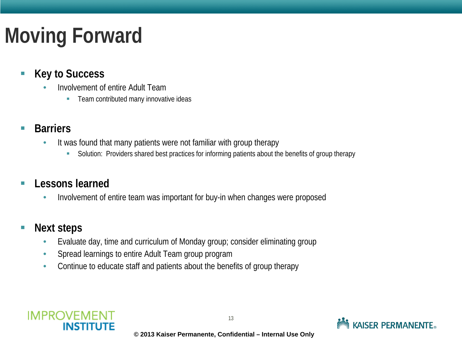# **Moving Forward**

- Key to Success
	- Involvement of entire Adult Team
		- Team contributed many innovative ideas
- **Barriers** 
	- It was found that many patients were not familiar with group therapy
		- Solution: Providers shared best practices for informing patients about the benefits of group therapy
- **Lessons learned** 
	- Involvement of entire team was important for buy-in when changes were proposed
- Next steps
	- Evaluate day, time and curriculum of Monday group; consider eliminating group
	- Spread learnings to entire Adult Team group program
	- Continue to educate staff and patients about the benefits of group therapy



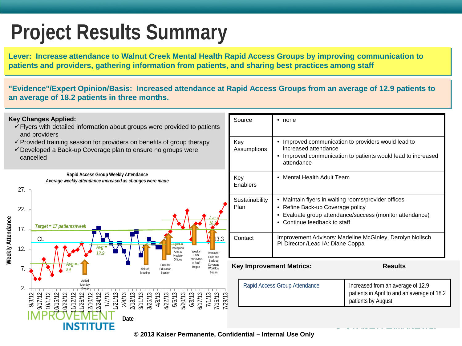## **Project Results Summary**

**Lever: Increase attendance to Walnut Creek Mental Health Rapid Access Groups by improving communication to patients and providers, gathering information from patients, and sharing best practices among staff**

**"Evidence"/Expert Opinion/Basis: Increased attendance at Rapid Access Groups from an average of 12.9 patients to an average of 18.2 patients in three months.**